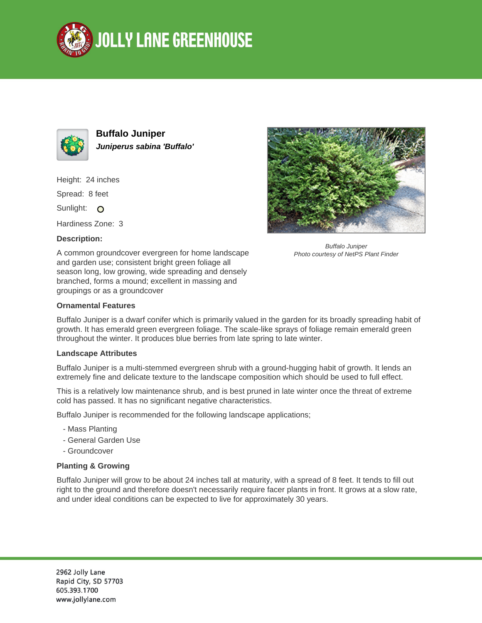



**Buffalo Juniper Juniperus sabina 'Buffalo'**

Height: 24 inches

Spread: 8 feet

Sunlight: O

Hardiness Zone: 3

## **Description:**

A common groundcover evergreen for home landscape and garden use; consistent bright green foliage all season long, low growing, wide spreading and densely branched, forms a mound; excellent in massing and groupings or as a groundcover



Buffalo Juniper is a dwarf conifer which is primarily valued in the garden for its broadly spreading habit of growth. It has emerald green evergreen foliage. The scale-like sprays of foliage remain emerald green

## **Landscape Attributes**

Buffalo Juniper is a multi-stemmed evergreen shrub with a ground-hugging habit of growth. It lends an extremely fine and delicate texture to the landscape composition which should be used to full effect.

This is a relatively low maintenance shrub, and is best pruned in late winter once the threat of extreme cold has passed. It has no significant negative characteristics.

Buffalo Juniper is recommended for the following landscape applications;

throughout the winter. It produces blue berries from late spring to late winter.

- Mass Planting
- General Garden Use
- Groundcover

## **Planting & Growing**

Buffalo Juniper will grow to be about 24 inches tall at maturity, with a spread of 8 feet. It tends to fill out right to the ground and therefore doesn't necessarily require facer plants in front. It grows at a slow rate, and under ideal conditions can be expected to live for approximately 30 years.



Buffalo Juniper Photo courtesy of NetPS Plant Finder